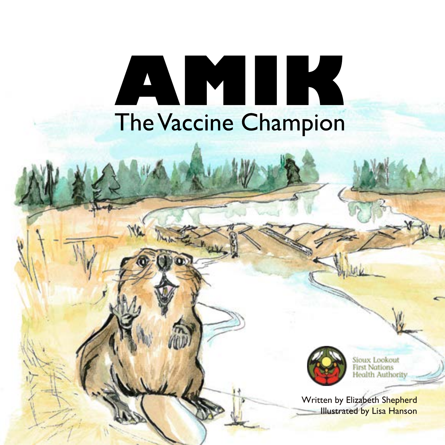# AMIK **The Vaccine Champion**



Sioux Lookout<br>First Nations **Health Authority** 

Written by Elizabeth Shepherd Illustrated by Lisa Hanson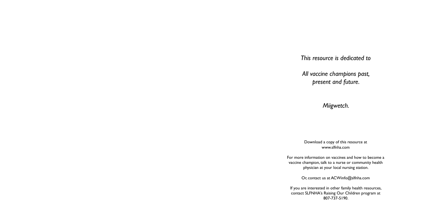Download a copy of this resource at www.slfnha.com

For more information on vaccines and how to become a vaccine champion, talk to a nurse or community health physician at your local nursing station.

Or, contact us at ACWinfo@slfnha.com

If you are interested in other family health resources, contact SLFNHA's Raising Our Children program at 807-737-5190.

*This resource is dedicated to* 

*All vaccine champions past, present and future.*

*Miigwetch.*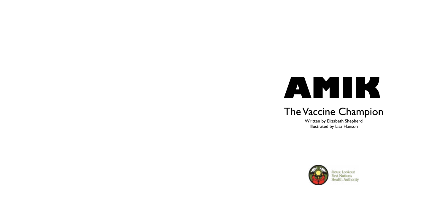

## The Vaccine Champion

Written by Elizabeth Shepherd Illustrated by Lisa Hanson





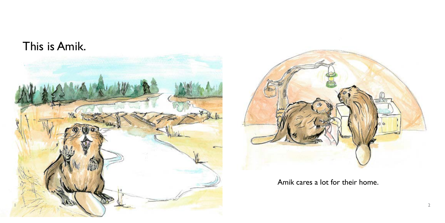



Amik cares a lot for their home.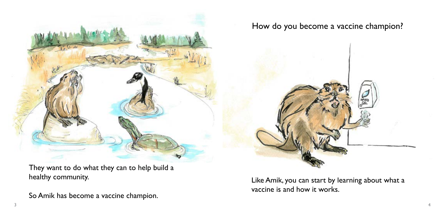

They want to do what they can to help build a healthy community.

So Amik has become a vaccine champion.

Like Amik, you can start by learning about what a vaccine is and how it works.

## How do you become a vaccine champion?

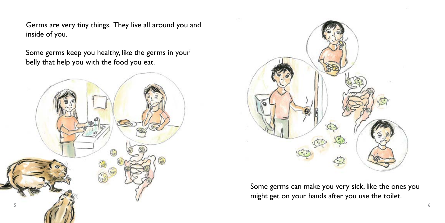Some germs can make you very sick, like the ones you might get on your hands after you use the toilet.

Germs are very tiny things. They live all around you and inside of you.

Some germs keep you healthy, like the germs in your belly that help you with the food you eat.



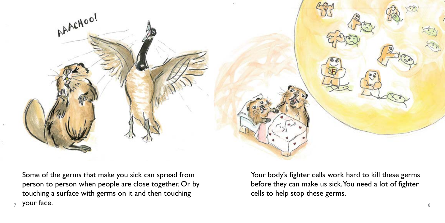

Some of the germs that make you sick can spread from person to person when people are close together. Or by touching a surface with germs on it and then touching your face.  $7 \text{ y}$ ull lact.

Your body's fighter cells work hard to kill these germs before they can make us sick. You need a lot of fighter cells to help stop these germs.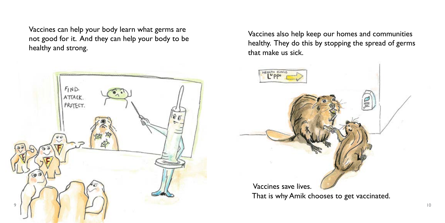Vaccines can help your body learn what germs are not good for it. And they can help your body to be healthy and strong.

Vaccines also help keep our homes and communities healthy. They do this by stopping the spread of germs that make us sick.



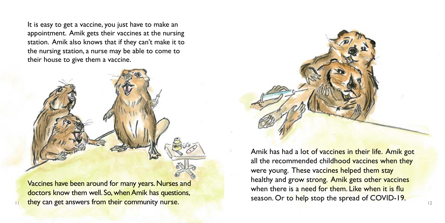Amik has had a lot of vaccines in their life. Amik got all the recommended childhood vaccines when they were young. These vaccines helped them stay healthy and grow strong. Amik gets other vaccines when there is a need for them. Like when it is flu season. Or to help stop the spread of COVID-19.

It is easy to get a vaccine, you just have to make an appointment. Amik gets their vaccines at the nursing station. Amik also knows that if they can't make it to the nursing station, a nurse may be able to come to their house to give them a vaccine.



Vaccines have been around for many years. Nurses and doctors know them well. So, when Amik has questions, They can get answers from their community nurse.<br>
12 12

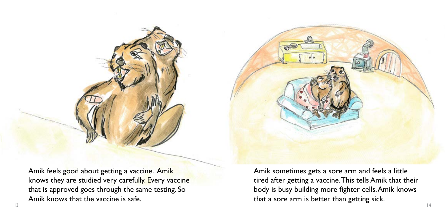Amik feels good about getting a vaccine. Amik knows they are studied very carefully. Every vaccine that is approved goes through the same testing. So Amik knows that the vaccine is safe.

Amik sometimes gets a sore arm and feels a little tired after getting a vaccine. This tells Amik that their body is busy building more fighter cells. Amik knows that a sore arm is better than getting sick. 13 14

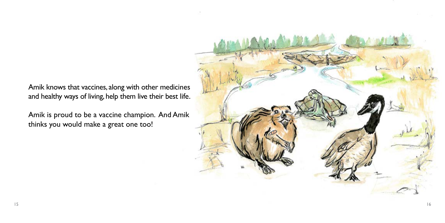Amik knows that vaccines, along with other medicines and healthy ways of living, help them live their best life.

Amik is proud to be a vaccine champion. And Amik thinks you would make a great one too!